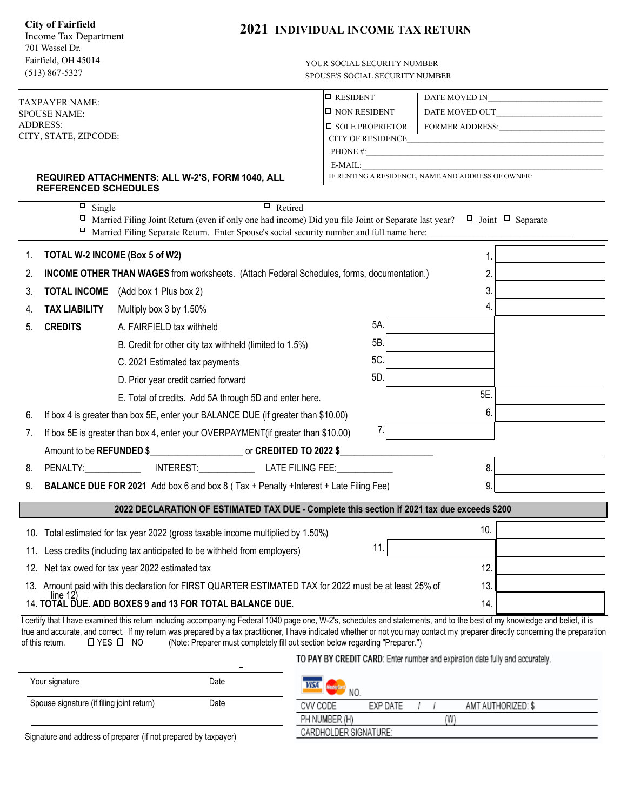| <b>City of Fairfield</b><br>Income Tax Department<br>701 Wessel Dr.<br>Fairfield, OH 45014<br>$(513) 867 - 5327$ |                                                                                              |                                                                                                                                                                                                                                                                                               | <b>2021 INDIVIDUAL INCOME TAX RETURN</b><br>YOUR SOCIAL SECURITY NUMBER<br>SPOUSE'S SOCIAL SECURITY NUMBER |                                                                                                                      |  |  |
|------------------------------------------------------------------------------------------------------------------|----------------------------------------------------------------------------------------------|-----------------------------------------------------------------------------------------------------------------------------------------------------------------------------------------------------------------------------------------------------------------------------------------------|------------------------------------------------------------------------------------------------------------|----------------------------------------------------------------------------------------------------------------------|--|--|
|                                                                                                                  |                                                                                              |                                                                                                                                                                                                                                                                                               | $\Box$ RESIDENT                                                                                            |                                                                                                                      |  |  |
| TAXPAYER NAME:<br><b>SPOUSE NAME:</b>                                                                            |                                                                                              |                                                                                                                                                                                                                                                                                               | <b>O NON RESIDENT</b>                                                                                      |                                                                                                                      |  |  |
| <b>ADDRESS:</b>                                                                                                  |                                                                                              |                                                                                                                                                                                                                                                                                               | <b><math>\Box</math></b> SOLE PROPRIETOR                                                                   |                                                                                                                      |  |  |
|                                                                                                                  | CITY, STATE, ZIPCODE:                                                                        |                                                                                                                                                                                                                                                                                               | <b>CITY OF RESIDENCE</b>                                                                                   | <u> 1989 - Johann John Harry Harry Harry Harry Harry Harry Harry Harry Harry Harry Harry Harry Harry Harry Harry</u> |  |  |
|                                                                                                                  |                                                                                              |                                                                                                                                                                                                                                                                                               |                                                                                                            | PHONE #:                                                                                                             |  |  |
|                                                                                                                  | <b>REFERENCED SCHEDULES</b>                                                                  | REQUIRED ATTACHMENTS: ALL W-2'S, FORM 1040, ALL                                                                                                                                                                                                                                               |                                                                                                            |                                                                                                                      |  |  |
|                                                                                                                  | $\overline{\Box}$ Single                                                                     | $\overline{\blacksquare}$ Retired                                                                                                                                                                                                                                                             |                                                                                                            |                                                                                                                      |  |  |
|                                                                                                                  |                                                                                              | Married Filing Joint Return (even if only one had income) Did you file Joint or Separate last year?<br>□ Married Filing Separate Return. Enter Spouse's social security number and full name here:                                                                                            |                                                                                                            | $\Box$ Joint $\Box$ Separate                                                                                         |  |  |
| 1.                                                                                                               |                                                                                              | TOTAL W-2 INCOME (Box 5 of W2)                                                                                                                                                                                                                                                                |                                                                                                            | 1.                                                                                                                   |  |  |
| 2.                                                                                                               |                                                                                              | <b>INCOME OTHER THAN WAGES</b> from worksheets. (Attach Federal Schedules, forms, documentation.)                                                                                                                                                                                             |                                                                                                            | 2.                                                                                                                   |  |  |
| 3.                                                                                                               |                                                                                              | <b>TOTAL INCOME</b> (Add box 1 Plus box 2)                                                                                                                                                                                                                                                    |                                                                                                            | 3.                                                                                                                   |  |  |
| 4.                                                                                                               | <b>TAX LIABILITY</b>                                                                         | Multiply box 3 by 1.50%                                                                                                                                                                                                                                                                       |                                                                                                            | 4.                                                                                                                   |  |  |
| 5.                                                                                                               | <b>CREDITS</b>                                                                               | A. FAIRFIELD tax withheld                                                                                                                                                                                                                                                                     | 5A.                                                                                                        |                                                                                                                      |  |  |
|                                                                                                                  |                                                                                              | B. Credit for other city tax withheld (limited to 1.5%)                                                                                                                                                                                                                                       | 5B.                                                                                                        |                                                                                                                      |  |  |
|                                                                                                                  |                                                                                              | C. 2021 Estimated tax payments                                                                                                                                                                                                                                                                | 5C.                                                                                                        |                                                                                                                      |  |  |
|                                                                                                                  |                                                                                              | D. Prior year credit carried forward                                                                                                                                                                                                                                                          | 5D.                                                                                                        |                                                                                                                      |  |  |
|                                                                                                                  |                                                                                              | E. Total of credits. Add 5A through 5D and enter here.                                                                                                                                                                                                                                        |                                                                                                            | 5E.                                                                                                                  |  |  |
| 6.                                                                                                               | If box 4 is greater than box 5E, enter your BALANCE DUE (if greater than \$10.00)            |                                                                                                                                                                                                                                                                                               |                                                                                                            |                                                                                                                      |  |  |
| 7.                                                                                                               | 6.<br>7.<br>If box 5E is greater than box 4, enter your OVERPAYMENT(if greater than \$10.00) |                                                                                                                                                                                                                                                                                               |                                                                                                            |                                                                                                                      |  |  |
|                                                                                                                  |                                                                                              | Amount to be REFUNDED \$ or CREDITED TO 2022 \$                                                                                                                                                                                                                                               |                                                                                                            |                                                                                                                      |  |  |
| 8.                                                                                                               |                                                                                              | PENALTY: NTEREST: LATE FILING FEE:                                                                                                                                                                                                                                                            |                                                                                                            | 8.                                                                                                                   |  |  |
| 9.                                                                                                               |                                                                                              | BALANCE DUE FOR 2021 Add box 6 and box 8 (Tax + Penalty + Interest + Late Filing Fee)                                                                                                                                                                                                         |                                                                                                            | 9.                                                                                                                   |  |  |
|                                                                                                                  |                                                                                              | 2022 DECLARATION OF ESTIMATED TAX DUE - Complete this section if 2021 tax due exceeds \$200                                                                                                                                                                                                   |                                                                                                            |                                                                                                                      |  |  |
|                                                                                                                  |                                                                                              |                                                                                                                                                                                                                                                                                               |                                                                                                            | 10.                                                                                                                  |  |  |
|                                                                                                                  |                                                                                              | 10. Total estimated for tax year 2022 (gross taxable income multiplied by 1.50%)                                                                                                                                                                                                              | 11.                                                                                                        |                                                                                                                      |  |  |
| 11.                                                                                                              |                                                                                              | Less credits (including tax anticipated to be withheld from employers)                                                                                                                                                                                                                        |                                                                                                            |                                                                                                                      |  |  |
| 12.                                                                                                              |                                                                                              | Net tax owed for tax year 2022 estimated tax                                                                                                                                                                                                                                                  |                                                                                                            | 12.                                                                                                                  |  |  |
| 13.                                                                                                              | line 12                                                                                      | Amount paid with this declaration for FIRST QUARTER ESTIMATED TAX for 2022 must be at least 25% of<br>14. TOTAL DUE. ADD BOXES 9 and 13 FOR TOTAL BALANCE DUE.                                                                                                                                |                                                                                                            | 13.<br>14.                                                                                                           |  |  |
|                                                                                                                  |                                                                                              | I certify that I have examined this return including accompanying Federal 1040 page one, W-2's, schedules and statements, and to the best of my knowledge and belief, it is                                                                                                                   |                                                                                                            |                                                                                                                      |  |  |
| of this return.                                                                                                  |                                                                                              | true and accurate, and correct. If my return was prepared by a tax practitioner, I have indicated whether or not you may contact my preparer directly concerning the preparation<br><b>O</b> YES <b>D</b> NO<br>(Note: Preparer must completely fill out section below regarding "Preparer.") |                                                                                                            |                                                                                                                      |  |  |
|                                                                                                                  |                                                                                              |                                                                                                                                                                                                                                                                                               | TO PAY BY CREDIT CARD: Enter number and expiration date fully and accurately.                              |                                                                                                                      |  |  |
|                                                                                                                  | Your signature                                                                               | <b>Date</b>                                                                                                                                                                                                                                                                                   |                                                                                                            |                                                                                                                      |  |  |

| Your signature                                                  | Date | <b>VISA</b><br>NO.                         |  |
|-----------------------------------------------------------------|------|--------------------------------------------|--|
| Spouse signature (if filing joint return)                       | Date | EXP DATE<br>AMT AUTHORIZED: \$<br>CVV CODE |  |
|                                                                 |      | PH NUMBER (H)                              |  |
| Signature and address of preparer (if not prepared by taxpayer) |      | CARDHOLDER SIGNATURE:                      |  |
|                                                                 |      |                                            |  |